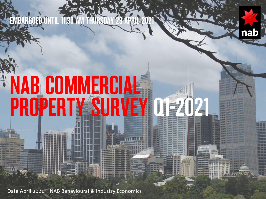



# **NAB COMMERCIAL<br>PROPERTY SURVEY** PY SURVEY Q15202

Date April 2021 | NAB Behavioural & Industry Economics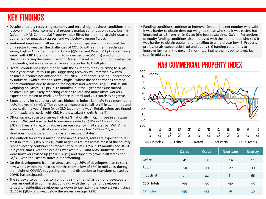## KEY FINDINGS

- Despite a rapidly recovering economy and record high business conditions, the recovery in the local commercial property market continues on a slow burn. In Q1'20, the NAB Commercial Property Index lifted for the third straight quarter, but remained negative (-22 pts) and well below average (-1 pt).
- Sentiment improved in all sectors, but remains disparate with Industrial the only sector to weather the challenges of COVID, with sentiment reaching a survey high +42 pts. Sentiment in Office (-30 pts) and Retail (-41 pts ) is still very weak, with CBD Hotels continuing to under-perform (-60 pts) amid ongoing challenges facing the tourism sector. Overall market sentiment improved across the country, but was also negative in all states bar QLD (+8 pts).
- Overall confidence edged higher, with the 12-month measure rising to -6 pts and 2-year measure to +10 pts, suggesting recovery will remain slow with positive outcomes not anticipated until 2022. Confidence is being underpinned by Industrial (which lifted to survey highs), where the pandemic has created boom conditions due to demand for logistics and warehousing. COVID is still weighing on Office (-16 pts in 12 months), but the 2-year measure turned positive (+11 pts) likely reflecting vaccine rollout and more office workers expected to return to work. Confidence in Retail and CBD Hotels is negative.
- Expectations for capital growth are highest in Industrial (3.1% in 12 months and 3.5% in 2 years' time). Office values are expected to fall -0.4% in 12 months and grow 0.3% in 2 years' time (with QLD leading the way). Retail, values are tipped to fall -1.4% and -0.5%, with CBD Hotels weakest (-3.9% & -3.1%).
- Office vacancy rose to a survey high 9.8% nationally in Q1. It rose in all states (except WA) and is expected to remain elevated at 9.8% in 12 months' and 8.8% in 2 years' time, with above average vacancy in all states bar WA. Amid strong demand, Industrial vacancy fell to a survey low 4.6% in Q1, with shortages most apparent in the Eastern seaboard states.
- The outlook for rents is mixed. In the next 1-2 years, rents are expected to fall most in Retail (-3.0% & -2.2%), with negative returns across most of the country. Higher vacancy continues to impact Office rents (-1.7% in 12 months and -0.4% in 2 years' time), with the outlook weakest in VIC and NSW. Industrial rents were however revised up (2.1% & 2.9%) and tipped to grow in all states bar SA/NT, with the Eastern states out-performing.
- On the development front, an above average 86% of developers plan to start new works within the next 18 months (from a low of 68% in mid-2020 during the height of COVID), suggesting the initial disruption to intentions caused by COVID has dissipated.
- The survey also continues to highlight a shift in emphasis among developers from residential to commercial building, with the number of developers targeting residential developments down to just 41% - the weakest result since Q1 2016 (38%), and well below the survey average (53%).

• Funding conditions continue to improve. Overall, the net number who said it was harder to obtain debt out-weighed those who said it was easier, but improved to -16 from -19 in Q4'20 (the best result since Q4'15). Perceptions of equity funding conditions also improved with the net number who said it was harder to obtain equity funding falling to a multi-year low -6. Property professionals expect debt (-10) and equity (-3) funding conditions to improve further in the next 3-6 months, bringing them back to levels last seen in mid-2015.

### NAB COMMERCIAL PROPERTY INDEX



|                   | Q4'20 | Q1'21 | Next 12m | <b>Next 2y</b> |
|-------------------|-------|-------|----------|----------------|
| Office            | $-41$ | $-30$ | $-16$    | 11             |
| Retail            | -58   | $-41$ | $-27$    | $-11$          |
| Industrial        | 25    | 42    | 63       | 66             |
| <b>CBD Hotels</b> | -64   | $-60$ | $-40$    | $-40$          |
| <b>CP Index</b>   | $-35$ | $-22$ | $-6$     | 10             |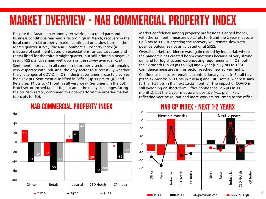## MARKET OVERVIEW - NAB COMMERCIAL PROPERTY INDEX

Despite the Australian economy recovering at a rapid pace and business conditions reaching a record high in March, recovery in the local commercial property market continued on a slow burn. In the March quarter survey, the NAB Commercial Property Index (a measure of sentiment based on expectations for capital values and rents) lifted for the third straight quarter, but still printed a negative result (-22 pts) to remain well down on the survey average (-1 pt). Sentiment improved in all commercial property sectors, but remains very disparate with Industrial the only sector to successfully weather the challenges of COVID. In Q1, Industrial sentiment rose to a survey high +42 pts. Sentiment also lifted in Office (up 11 pts to -30) and Retail (up 17 pts to -41) but is still very weak. Sentiment in the CBD Hotel sector inched up a little, but amid the many challenges facing the tourism sector, continued to under-perform the broader market (up 4 pts to -60).

Market confidence among property professionals edged higher, with the 12 month measure up 17 pts to -6 and the 2 year measure up 8 pts to +10, suggesting the recovery will remain slow with positive outcomes not anticipated until 2022.

Overall market confidence was again carried by Industrial, where the pandemic has created boom conditions because of very strong demand for logistics and warehousing requirements. In Q1, both the 12 month (up 20 pts to  $+63$ ) and 2-year (up 13 pts to  $+66$ ) confidence measures in this sector reached new survey highs. Confidence measures remain at contractionary levels in Retail (-27 pts in 12-months & -11 pts in 2 years) and CBD Hotels, where it sank

further (-40 pts in the next 12-24 months). The impact of COVID is still weighing on short-term Office confidence (-16 pts in 12 months), but the 2 year measure is positive (+11 pts), likely reflecting vaccine rollout and more workers returning to the office.



### NAB COMMERCIAL PROPERTY INDEX

### NAB CP INDEX - NEXT 1-2 YEARS

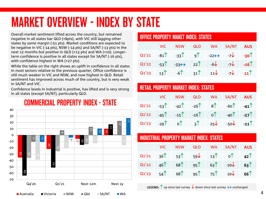## MARKET OVERVIEW - INDEX BY STATE

Overall market sentiment lifted across the country, but remained negative in all states bar QLD (+8pts), with VIC still lagging other states by some margin (-51 pts). Market conditions are expected to be negative in VIC (-14 pts), NSW (-14 pts) and SA/NT (-13 pts) in the next 12 months but positive in QLD (+13 pts) and WA (+10). Longerterm confidence is positive in all states except for SA/NT (-16 pts), with confidence highest in WA (+27 pts).

While the table on the right shows an uplift in confidence in all states in most sectors relative to the previous quarter, Office confidence is still much weaker in VIC and NSW, and now highest in QLD. Retail sentiment has improved across much of the country, but is very weak in SA/NT and VIC.

Confidence levels in Industrial is positive, has lifted and is very strong in all states (except SA/NT), particularly QLD.



### COMMERCIAL PROPERTY INDEX - STATE

#### OFFICE PROPERTY MAKET INDEX: STATES

|  | VIC NSW QLD WA SA/NT AUS                                                                   |  |  |
|--|--------------------------------------------------------------------------------------------|--|--|
|  | Q1'21 -81 -33 9 -22 -> -7 -30                                                              |  |  |
|  | Q1'22 -53 -33 -33 -32 -6 -5 -7 -16                                                         |  |  |
|  | Q1'23 $13$ <sup>↑</sup> $-6$ <sup>↑</sup> $31$ <sup>↑</sup> $11$ $7$ $7$ $11$ <sup>↑</sup> |  |  |

### RETAIL PROPERTY MARKET INDEX: STATES

|  |  | VIC NSW QLD WA SA/NT AUS                                                                                    |  |
|--|--|-------------------------------------------------------------------------------------------------------------|--|
|  |  | $Q1'21$ -53 <sup>1</sup> -42 <sup>1</sup> -26 <sup>1</sup> 8 <sup>1</sup> -60 <sup>1</sup> -41 <sup>1</sup> |  |
|  |  | Q1'22 -45 -15 -16 -16 0 -40 -27                                                                             |  |
|  |  | Q1'23 -29 <sup>1</sup> o <sup>1</sup> 3 <sup>1</sup> 25 -50 -11 <sup>1</sup>                                |  |

#### INDUSTRIAL PROPERTY MARKET INDEX: STATES

|  | VIC NSW |  | QLD WA SA/NT AUS           |  |
|--|---------|--|----------------------------|--|
|  |         |  | Q1'21 36 53 53 59 13 0 42  |  |
|  |         |  | Q1'22 46 68 95 63 10 10 63 |  |
|  |         |  | $Q1'23$ 54 68 95 75 10 66  |  |

**LEGEND:**  $\uparrow$  up since last survey  $\downarrow$  down since last survey  $\leftrightarrow$  unchanged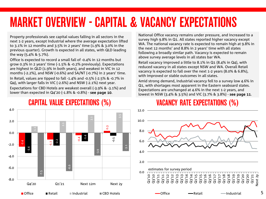## MARKET OVERVIEW - CAPITAL & VACANCY EXPECTATIONS

Property professionals see capital values falling in all sectors in the next 1-2 years, except Industrial where the average expectation lifted to 3.1% in 12 months and 3.5% in 2 years' time (1.9% & 3.0% in the previous quarter). Growth is expected in all states, with QLD leading the way (5.4% & 5.7%).

Office is expected to record a small fall of -0.4% in 12 months but grow 0.3% in 2 years' time (-1.5% & -0.2% previously). Expectations are highest in QLD (1.9% in both years), and weakest in VIC in 12 months (-2.2%), and NSW (-0.6%) and SA/NT (-0.7%) in 2 years' time. In Retail, values are tipped to fall -1.4% and -0.5% (-2.5% & -0.7% in Q4), with larger falls in VIC (-2.6%) and NSW (-2.1%) next year. Expectations for CBD Hotels are weakest overall (-3.9% & -3.1%) and lower than expected in Q4'20 (-1.8% & -0.8%) - see page 10.

### CAPITAL VALUE EXPECTATIONS (%)

-2.4  $\frac{1}{1}$  $\overline{a}$ 0.3 -3.4 -2.2 -1.4 -0.5 1.1 2.1  $\frac{1}{2}$ .<br>م -7.5 -6.6 -3.9 -3.1 -8.0 -6.0 -4.0 -2.0 0.0 2.0 4.0 Q4'20 Q1'21 Next 12m Next 2y Office Retail Industrial CBD Hotels

National Office vacancy remains under pressure, and increased to a survey high 9.8% in Q1. All states reported higher vacancy except WA. The national vacancy rate is expected to remain high at 9.8% in the next 12 months' and 8.8% in 2 years' time with all states following a broadly similar path. Vacancy is expected to remain above survey average levels in all states bar WA.

Retail vacancy improved a little to 8.1% in Q1 (8.4% in Q4), with reduced vacancy in all states except NSW and WA. Overall Retail vacancy is expected to fall over the next 1-2 years (8.0% & 6.8%), with improved or stable outcomes in all states.

Amid strong demand, Industrial vacancy fell to a survey low 4.6% in Q1, with shortages most apparent in the Eastern seaboard states. Expectations are unchanged at 4.6% in the next 1-2 years, and lowest in NSW (3.4% & 3.5%) and VIC (3.7% & 3.8%) - see page 11.

## VACANCY RATE EXPECTATIONS (%)



5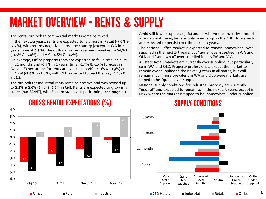## MARKET OVERVIEW - RENTS & SUPPLY

The rental outlook in commercial markets remains mixed.

In the next 1-2 years, rents are expected to fall most in Retail (-3.0% & -2.2%), with returns negative across the country (except in WA in 2 years' time at 0.3%). The outlook for rents remains weakest in SA/NT (-3.5% & -5.0%) and VIC (-4.8% & -3.2%).

On average, Office property rents are expected to fall a smaller -1.7% in 12 months and -0.4% in 2 years' time (-2.7% & -1.4% forecast in Q4'20). Expectations for rents are weakest in VIC (-4.0% & -0.9%) and in NSW (-2.9% & -1.8%), with QLD expected to lead the way (1.1% & 1.7%).

The outlook for Industrial rents remains positive and was revised up to 2.1% & 2.9% (1.4% & 2.1% in Q4). Rents are expected to grow in all states (bar SA/NT), with Eastern states out-performing- see page 10.

GROSS RENTAL EXPECTATIONS (%)

Amid still low occupancy (50%) and persistent uncertainties around international travel, large supply over-hangs in the CBD Hotels sector are expected to persist over the next 1-3 years.

The national Office market is expected to remain "somewhat" oversupplied in the next 1-3 years, but "quite" over-supplied in WA and QLD and "somewhat" over-supplied in in NSW and VIC.

All state Retail markets are currently over-supplied, but particularly so in WA and QLD. Property professionals expect the market to remain over-supplied in the next 1-3 years in all states, but will remain much more prevalent in WA and QLD were markets are tipped to be "quite" over-supplied.

National supply conditions for Industrial property are currently "neutral" and expected to remain so in the next 1-5 years, except in NSW where the market is tipped to be "somewhat" under-supplied.



### SUPPLY CONDITIONS

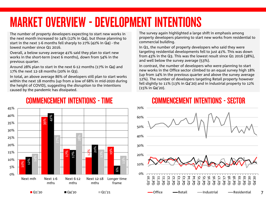## MARKET OVERVIEW - DEVELOPMENT INTENTIONS

The number of property developers expecting to start new works in the next month increased to 14% (12% in Q4), but those planning to start in the next 1-6 months fell sharply to 27% (42% in Q4) - the lowest number since Q1 2016.

Overall, a below survey average 41% said they plan to start new works in the short-term (next 6 months), down from 54% in the previous quarter.

Around 28% plan to start in the next 6-12 months (17% in Q4) and 17% the next 12-18 months (20% in Q3).

In total, an above average 86% of developers still plan to start works within the next 18 months (up from a low of 68% in mid-2020 during the height of COVID), suggesting the disruption to the intentions caused by the pandemic has dissipated.

#### 10% 39% 17% 12% 19% 12% 42% 17% 20%  $\approx$ 14% 27% 28% 13% 0% 5% 10% 15% 20% 25% 30% 35% 40% 45% Next mth Next 1-6 mths Next 6-12 mths Next 12-18 mths Longer time frame  $\blacksquare$  Q1'20  $\blacksquare$  Q1'21  $\blacksquare$  Q1'21

### COMMENCEMENT INTENTIONS - TIME

The survey again highlighted a large shift in emphasis among property developers planning to start new works from residential to commercial building.

In Q1, the number of property developers who said they were targeting residential developments fell to just 41%. This was down from 43% in the Q3. This was the lowest result since Q1 2016 (38%), and well below the survey average (53%).

In contrast, the number of developers who were planning to start new works in the Office sector climbed to an equal survey high 18% (up from 14% in the previous quarter and above the survey average 12%). The number of developers targeting Retail property however fell slightly to 11% (13% in Q4'20) and in Industrial property to 12% (15% in Q4'20).



7

## COMMENCEMENT INTENTIONS - SECTOR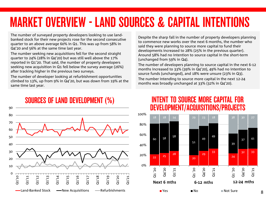## MARKET OVERVIEW - LAND SOURCES & CAPITAL INTENTIONS

The number of surveyed property developers looking to use landbanked stock for their new projects rose for the second consecutive quarter to an above average 60% in Q1. This was up from 58% in Q4'20 and 56% at the same time last year.

The number seeking new acquisitions fell for the second straight quarter to 24% (28% in Q4'20) but was still well above the 17% reported in Q1'20. That said, the number of property developers seeking new acquisition in Q1 fell below the survey average (26%) after tracking higher in the previous two surveys.

The number of developer looking at refurbishment opportunities climbed to 13%, up from 9% in Q4'20, but was down from 19% at the same time last year.

Despite the sharp fall in the number of property developers planning to commence new works over the next 6 months, the number who said they were planning to source more capital to fund their developments increased to 28% (25% in the previous quarter). Around 58% had no intention to source capital in the short-term (unchanged from 59% in Q4).

The number of developers planning to source capital in the next 6-12 months increased to 33% (39% in Q4'20), 49% had no intention to source funds (unchanged), and 18% were unsure (23% in Q3). The number intending to source more capital in the next 12-24 months was broadly unchanged at 33% (32% in Q4'20).



90

### INTENT TO SOURCE MORE CAPITAL FOR DEVELOPMENT/ACQUISITIONS/PROJECTS



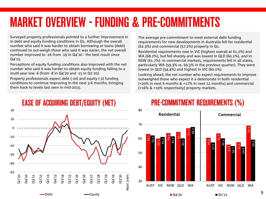## MARKET OVERVIEW - FUNDING & PRE-COMMITMENTS

Surveyed property professionals pointed to a further improvement in in debt and equity funding conditions in Q1. Although the overall number who said it was harder to obtain borrowing or loans (debt) continued to out-weigh those who said it was easier, the net overall number improved to -16 from -19 in Q4'20 - the best result since Q4'15.

Perceptions of equity funding conditions also improved with the net number who said it was harder to obtain equity funding falling to a multi-year low -6 (from -8 in Q4'20 and -15 in Q1'20).

Property professionals expect debt (-10) and equity (-3) funding conditions to continue improving in the next 3-6 months, bringing them back to levels last seen in mid-2015.

20 10 0 -10 -20 -30 -40 -50 Q1'10 Q4'10 Q4'16 Q3'20 Q1'13 Q1'16 Q2'18 Q1'19 Next 3-6m Q3'11 Q2'12 Q4'13 Q3'14 Q2'15 Q3'17 Q4'19 Next 3-6m Debt **—**Equity

## EASE OF ACQUIRING DEBT/EQUITY (NET)

The average pre-commitment to meet external debt funding requirements for new developments in Australia fell for residential (62.3%) and commercial (57.2%) property in Q1.

Residential requirements rose in VIC (highest overall at 61.2%) and WA (68.2%), but fell sharply and was lowest in QLD (60.1%), and in NSW (61.7%). In commercial markets, requirements fell in all states, particularly WA (59.3% vs. 69.3% in the previous quarter). They were lowest in QLD (54.4%) and highest in VIC (60.1%).

Looking ahead, the net number who expect requirements to improve outweighed those who expect it a deteriorate in both residential (+20% in next 6 months & +17% in next 12 months) and commercial (+16% & +19% respectively) property markets.



## PRE-COMMITMENT REQUIREMENTS (%)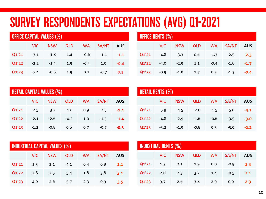## SURVEY RESPONDENTS EXPECTATIONS (AVG) Q1-2021

| <b>OFFICE CAPITAL VALUES (%)</b> |        |            |            |           |        |            |  |  |
|----------------------------------|--------|------------|------------|-----------|--------|------------|--|--|
|                                  | VIC.   | <b>NSW</b> | <b>QLD</b> | <b>WA</b> | SA/NT  | <b>AUS</b> |  |  |
| Q1'21                            | $-3.1$ | $-1.8$     | 1.4        | $-0.6$    | $-1.1$ | $-1.1$     |  |  |
| Q1'22                            | $-2.2$ | $-1.4$     | 1.9        | $-0.4$    | 1.0    | $-0.4$     |  |  |
| Q1'23                            | 0.2    | $-0.6$     | 1.9        | 0.7       | $-0.7$ | 0.3        |  |  |

| <b>OFFICE RENTS (%)</b> |        |            |            |           |        |            |  |  |
|-------------------------|--------|------------|------------|-----------|--------|------------|--|--|
|                         | VIC.   | <b>NSW</b> | <b>QLD</b> | <b>WA</b> | SA/NT  | <b>AUS</b> |  |  |
| Q1'21                   | $-4.8$ | $-3.3$     | 0.6        | $-1.3$    | $-2.5$ | $-2.3$     |  |  |
| Q1'22                   | $-4.0$ | $-2.9$     | 1.1        | $-0.4$    | $-1.6$ | $-1.7$     |  |  |
| Q1'23                   | $-0.9$ | $-1.8$     | 1.7        | 0.5       | $-1.3$ | $-0.4$     |  |  |

| <b>RETAIL CAPITAL VALUES (%)</b> |        |            |            |           |        |            |  |  |
|----------------------------------|--------|------------|------------|-----------|--------|------------|--|--|
|                                  | VIC.   | <b>NSW</b> | <b>QLD</b> | <b>WA</b> | SA/NT  | <b>AUS</b> |  |  |
| Q1'21                            | $-2.5$ | $-3.2$     | $-1.0$     | 0.9       | $-2.5$ | $-1.4$     |  |  |
| Q1'22                            | $-2.1$ | $-2.6$     | $-0.2$     | 1.0       | $-1.5$ | $-1.4$     |  |  |
| Q1'23                            | $-1.2$ | $-0.8$     | 0.6        | 0.7       | $-0.7$ | $-0.5$     |  |  |

| <b>RETAIL RENTS (%)</b> |            |            |            |           |        |            |  |  |
|-------------------------|------------|------------|------------|-----------|--------|------------|--|--|
|                         | <b>VIC</b> | <b>NSW</b> | <b>QLD</b> | <b>WA</b> | SA/NT  | <b>AUS</b> |  |  |
| Q1'21                   | $-5.9$     | $-4.5$     | $-2.0$     | $-1.5$    | $-5.0$ | $-4.1$     |  |  |
| Q1'22                   | -4.8       | $-2.9$     | $-1.6$     | $-0.6$    | $-3.5$ | $-3.0$     |  |  |
| Q1'23                   | $-3.2$     | $-1.9$     | $-0.8$     | 0.3       | $-5.0$ | $-2.2$     |  |  |

| <b>INDUSTRIAL CAPITAL VALUES (%)</b> |      |            |            |           |       |            |  |  |
|--------------------------------------|------|------------|------------|-----------|-------|------------|--|--|
|                                      | VIC. | <b>NSW</b> | <b>QLD</b> | <b>WA</b> | SA/NT | <b>AUS</b> |  |  |
| Q1'21                                | 1.3  | 2.1        | 4.1        | 0.4       | 0.8   | 2.1        |  |  |
| Q1'22                                | 2.8  | 2.5        | 5.4        | 1.8       | 3.8   | 3.1        |  |  |
| Q1'23                                | 4.0  | 2.6        | 5.7        | 2.3       | 0.9   | 3.5        |  |  |

| <b>INDUSTRIAL RENTS (%)</b> |      |            |            |           |        |            |  |  |
|-----------------------------|------|------------|------------|-----------|--------|------------|--|--|
|                             | VIC. | <b>NSW</b> | <b>QLD</b> | <b>WA</b> | SA/NT  | <b>AUS</b> |  |  |
| Q1'21                       | 1.3  | 2.1        | 1.9        | 0.0       | $-0.9$ | 1.4        |  |  |
| Q1'22                       | 2.0  | 2.3        | 3.2        | 1.4       | $-0.5$ | 2.1        |  |  |
| Q1'23                       | 3.7  | 2.6        | 3.8        | 2.9       | 0.0    | 2.9        |  |  |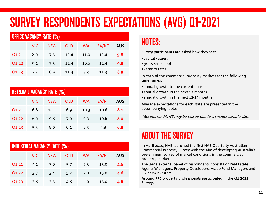## SURVEY RESPONDENTS EXPECTATIONS (AVG) Q1-2021

| <b>OFFICE VACANCY RATE (%)</b> |      |            |            |           |       |            |  |  |
|--------------------------------|------|------------|------------|-----------|-------|------------|--|--|
|                                | VIC. | <b>NSW</b> | <b>QLD</b> | <b>WA</b> | SA/NT | <b>AUS</b> |  |  |
| Q1'21                          | 8.9  | 7.5        | 12.4       | 11.0      | 12.4  | 9.8        |  |  |
| Q1'22                          | 9.1  | 7.5        | 12.4       | 10.6      | 12.4  | 9.8        |  |  |
| Q1'23                          | 7.5  | 6.9        | 11.4       | 9.3       | 11.3  | 8.8        |  |  |

| <b>RET9.8AIL VACANCY RATE (%)</b> |      |            |            |           |       |            |  |  |
|-----------------------------------|------|------------|------------|-----------|-------|------------|--|--|
|                                   | VIC. | <b>NSW</b> | <b>QLD</b> | <b>WA</b> | SA/NT | <b>AUS</b> |  |  |
| Q1'21                             | 6.8  | 10.1       | 6.9        | 10.3      | 10.6  | 8.1        |  |  |
| Q1'22                             | 6.9  | 9.8        | 7.0        | 9.3       | 10.6  | 8.0        |  |  |
| Q1'23                             | 5.3  | 8.0        | 6.1        | 8.3       | 9.8   | 6.8        |  |  |

| <b>INDUSTRIAL VACANCY RATE (%)</b> |      |            |            |           |       |            |
|------------------------------------|------|------------|------------|-----------|-------|------------|
|                                    | VIC. | <b>NSW</b> | <b>QLD</b> | <b>WA</b> | SA/NT | <b>AUS</b> |
| Q1'21                              | 4.1  | 3.0        | 5.7        | 7.5       | 15.0  | 4.6        |
| Q1'22                              | 3.7  | 3.4        | 5.2        | 7.0       | 15.0  | 4.6        |
| Q1'23                              | 3.8  | 3.5        | 4.8        | 6.0       | 15.0  | 4.6        |

## NOTES:

Survey participants are asked how they see:

- •capital values;
- •gross rents; and
- •vacancy rates

In each of the commercial property markets for the following timeframes:

•annual growth to the current quarter

- •annual growth in the next 12 months
- •annual growth in the next 12-24 months

Average expectations for each state are presented in the accompanying tables.

\*Results for SA/NT may be biased due to a smaller sample size.

## ABOUT THE SURVEY

In April 2010, NAB launched the first NAB Quarterly Australian Commercial Property Survey with the aim of developing Australia's pre-eminent survey of market conditions in the commercial property market.

The large external panel of respondents consists of Real Estate Agents/Managers, Property Developers, Asset/Fund Managers and Owners/Investors.

Around 330 property professionals participated in the Q1 2021 Survey.